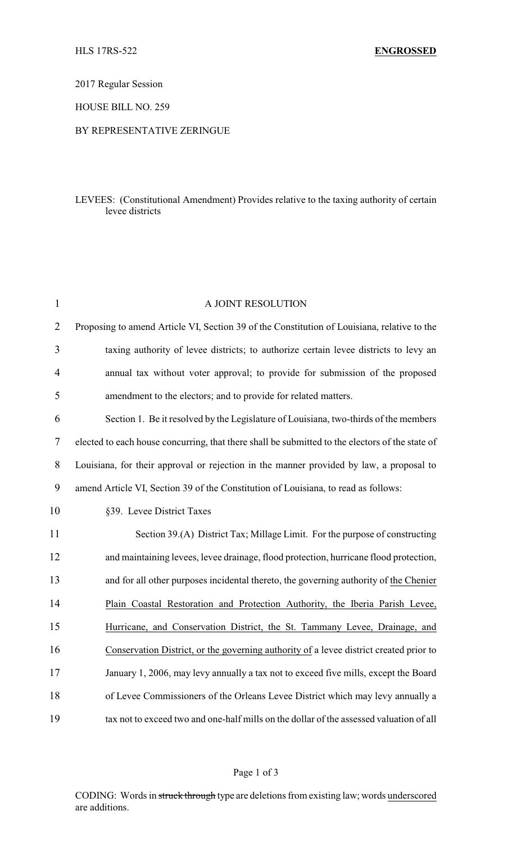2017 Regular Session

HOUSE BILL NO. 259

#### BY REPRESENTATIVE ZERINGUE

## LEVEES: (Constitutional Amendment) Provides relative to the taxing authority of certain levee districts

| $\mathbf{1}$   | A JOINT RESOLUTION                                                                              |
|----------------|-------------------------------------------------------------------------------------------------|
| $\overline{2}$ | Proposing to amend Article VI, Section 39 of the Constitution of Louisiana, relative to the     |
| 3              | taxing authority of levee districts; to authorize certain levee districts to levy an            |
| 4              | annual tax without voter approval; to provide for submission of the proposed                    |
| 5              | amendment to the electors; and to provide for related matters.                                  |
| 6              | Section 1. Be it resolved by the Legislature of Louisiana, two-thirds of the members            |
| $\tau$         | elected to each house concurring, that there shall be submitted to the electors of the state of |
| 8              | Louisiana, for their approval or rejection in the manner provided by law, a proposal to         |
| 9              | amend Article VI, Section 39 of the Constitution of Louisiana, to read as follows:              |
| 10             | §39. Levee District Taxes                                                                       |
| 11             | Section 39.(A) District Tax; Millage Limit. For the purpose of constructing                     |
| 12             | and maintaining levees, levee drainage, flood protection, hurricane flood protection,           |
| 13             | and for all other purposes incidental thereto, the governing authority of the Chenier           |
| 14             | Plain Coastal Restoration and Protection Authority, the Iberia Parish Levee,                    |
| 15             | Hurricane, and Conservation District, the St. Tammany Levee, Drainage, and                      |
| 16             | Conservation District, or the governing authority of a levee district created prior to          |
| 17             | January 1, 2006, may levy annually a tax not to exceed five mills, except the Board             |
| 18             | of Levee Commissioners of the Orleans Levee District which may levy annually a                  |
| 19             | tax not to exceed two and one-half mills on the dollar of the assessed valuation of all         |

# Page 1 of 3

CODING: Words in struck through type are deletions from existing law; words underscored are additions.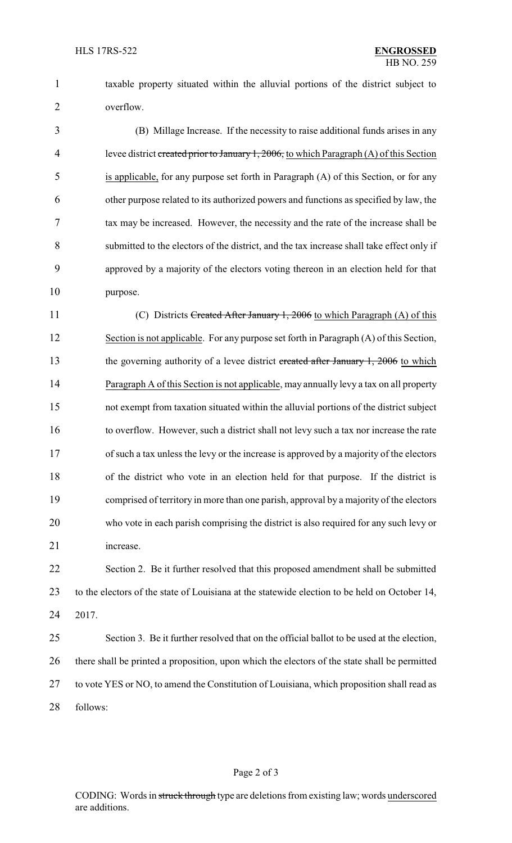taxable property situated within the alluvial portions of the district subject to overflow.

 (B) Millage Increase. If the necessity to raise additional funds arises in any 4 levee district created prior to January 1, 2006, to which Paragraph (A) of this Section is applicable, for any purpose set forth in Paragraph (A) of this Section, or for any other purpose related to its authorized powers and functions as specified by law, the tax may be increased. However, the necessity and the rate of the increase shall be submitted to the electors of the district, and the tax increase shall take effect only if approved by a majority of the electors voting thereon in an election held for that purpose.

11 (C) Districts Created After January 1, 2006 to which Paragraph (A) of this Section is not applicable. For any purpose set forth in Paragraph (A) of this Section, 13 the governing authority of a levee district created after January 1, 2006 to which Paragraph A of this Section is not applicable, may annually levy a tax on all property not exempt from taxation situated within the alluvial portions of the district subject to overflow. However, such a district shall not levy such a tax nor increase the rate of such a tax unless the levy or the increase is approved by a majority of the electors of the district who vote in an election held for that purpose. If the district is comprised of territory in more than one parish, approval by a majority of the electors who vote in each parish comprising the district is also required for any such levy or increase.

 Section 2. Be it further resolved that this proposed amendment shall be submitted to the electors of the state of Louisiana at the statewide election to be held on October 14, 2017.

# Section 3. Be it further resolved that on the official ballot to be used at the election, there shall be printed a proposition, upon which the electors of the state shall be permitted to vote YES or NO, to amend the Constitution of Louisiana, which proposition shall read as follows: